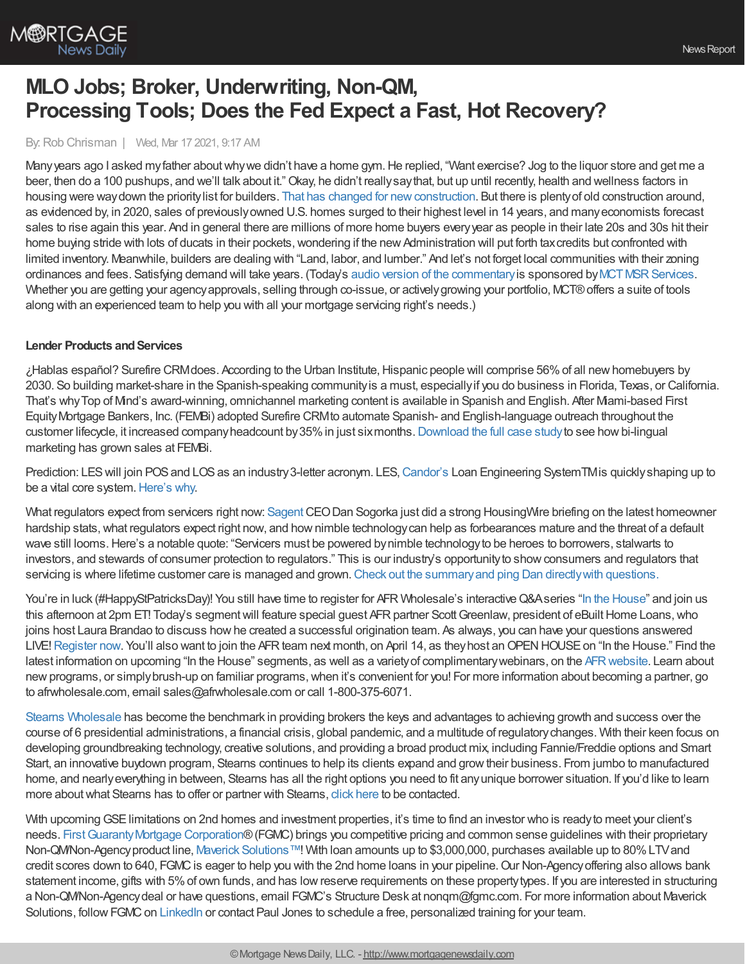

# **MLO Jobs; Broker, Underwriting, Non-QM, Processing Tools; Does the Fed Expect a Fast, Hot Recovery?**

By: Rob Chrisman | Wed, Mar 17 2021, 9:17 AM

Many years ago I asked my father about why we didn't have a home gym. He replied, "Want exercise? Jog to the liquor store and get me a beer, then do a 100 pushups, and we'll talk about it."Okay, he didn't reallysaythat, but up until recently, health and wellness factors in housing were way down the priority list for builders. That has changed for new construction. But there is plenty of old construction around, as evidenced by, in 2020, sales of previouslyowned U.S. homes surged to their highest level in 14 years, and manyeconomists forecast sales to rise again this year. And in general there are millions of more home buyers everyyear as people in their late 20s and 30s hit their home buying stride with lots of ducats in their pockets, wondering if the new Administration will put forth tax credits but confronted with limited inventory. Meanwhile, builders are dealing with "Land, labor, and lumber." And let's not forget local communities with their zoning ordinances and fees. Satisfying demand will take years. (Today's audio version of the [commentary](https://linktr.ee/dailymortgagenews) is sponsored by MCT MSR Services. Whether you are getting your agency approvals, selling through co-issue, or actively growing your portfolio, MCT® offers a suite of tools along with an experienced team to help you with all your mortgage servicing right's needs.)

### **Lender Products and Services**

¿Hablas español? Surefire CRMdoes. According to the Urban Institute,Hispanic people will comprise 56%of all newhomebuyers by 2030. So building market-share in the Spanish-speaking communityis a must, especiallyif you do business in Florida, Texas, or California. That's whyTop of Mind's award-winning, omnichannel marketing content is available in Spanish and English. After Miami-based First EquityMortgage Bankers, Inc. (FEMBi) adopted Surefire CRMto automate Spanish- and English-language outreach throughout the customer lifecycle, it increased company headcount by 35% in just sixmonths. [Download](https://www.topofmind.com/fembi-case-study/?utm_source=website&utm_medium=rob%20chrisman&utm_campaign=FEMBi_Case_Study) the full case study to see how bi-lingual marketing has grown sales at FEMBi.

Prediction: LES will join POS and LOS as an industry 3-letter acronym. LES, [Candor's](http://www.candortechnology.com/chrisman-daily-0317) Loan Engineering SystemTMis quickly shaping up to be a vital core system. [Here's](https://candortechnology.com/wp-content/uploads/2021/03/Candor-Overview-03-2121.pdf) why.

What regulators expect from servicers right now: [Sagent](https://sagent.com/?utm_source=Advertisement&utm_medium=Chrisman%20Daily%20Commentary%20-%20Email&utm_campaign=Web%20Content%20%257C%202021-03-16%20What%20Regulators%20Expect%20From%20Mortgage%20Servicers%20Right%20Now) CEO Dan Sogorka just did a strong HousingWire briefing on the latest homeowner hardship stats, what regulators expect right now, and how nimble technology can help as forbearances mature and the threat of a default wave still looms.Here's a notable quote: "Servicers must be powered bynimble technologyto be heroes to borrowers, stalwarts to investors, and stewards of consumer protection to regulators." This is our industry's opportunityto showconsumers and regulators that servicing is where lifetime customer care is managed and grown. Check out the summary and ping Dan directly with questions.

You're in luck (#HappyStPatricksDay)! You still have time to register for AFR Wholesale's interactive Q&Aseries "In the [House](https://register.gotowebinar.com/register/5986988559990641934)" and join us this afternoon at 2pm ET! Today's segment will feature special guest AFR partner Scott Greenlaw, president of eBuilt Home Loans, who joins host Laura Brandao to discuss howhe created a successful origination team. As always, you can have your questions answered LIVE! [Register](https://register.gotowebinar.com/register/5986988559990641934) now. You'll also want to join the AFR team next month, on April 14, as they host an OPEN HOUSE on "In the House." Find the latest information on upcoming "In the House" segments, as well as a variety of complimentary webinars, on the AFR website. Learn about new programs, or simply brush-up on familiar programs, when it's convenient for you! For more information about becoming a partner, go to afrwholesale.com, email sales@afrwholesale.com or call 1-800-375-6071.

Stearns [Wholesale](https://www.stearnswholesale.com/) has become the benchmark in providing brokers the keys and advantages to achieving growth and success over the course of 6 presidential administrations, a financial crisis, global pandemic, and a multitude of regulatorychanges. With their keen focus on developing groundbreaking technology, creative solutions, and providing a broad product mix, including Fannie/Freddie options and Smart Start, an innovative buydown program, Stearns continues to help its clients expand and growtheir business. From jumbo to manufactured home, and nearlyeverything in between, Stearns has all the right options you need to fit anyunique borrower situation. If you'd like to learn more about what Stearns has to offer or partner with Stearns, click [here](https://sites.totalexpert.net/event-registration/new-broker---chrisman-387548) to be contacted.

With upcoming GSE limitations on 2nd homes and investment properties, it's time to find an investor who is ready to meet your client's needs. First Guaranty Mortgage Corporation® (FGMC) brings you competitive pricing and common sense guidelines with their proprietary Non-QM/Non-Agency product line, Maverick [Solutions™!](http://www.fgmc.com/maverick-solutions/) With loan amounts up to \$3,000,000, purchases available up to 80% LTV and credit scores down to 640, FGMC is eager to help you with the 2nd home loans in your pipeline. Our Non-Agency offering also allows bank statement income, gifts with 5%of own funds, and has lowreserve requirements on these propertytypes. If you are interested in structuring a Non-QM/Non-Agency deal or have questions, email FGMC's Structure Desk at nonqm@fgmc.com. For more information about Maverick Solutions, follow FGMC on [LinkedIn](https://www.linkedin.com/company/first-guaranty-mortgage-corp/) or contact Paul Jones to schedule a free, personalized training for your team.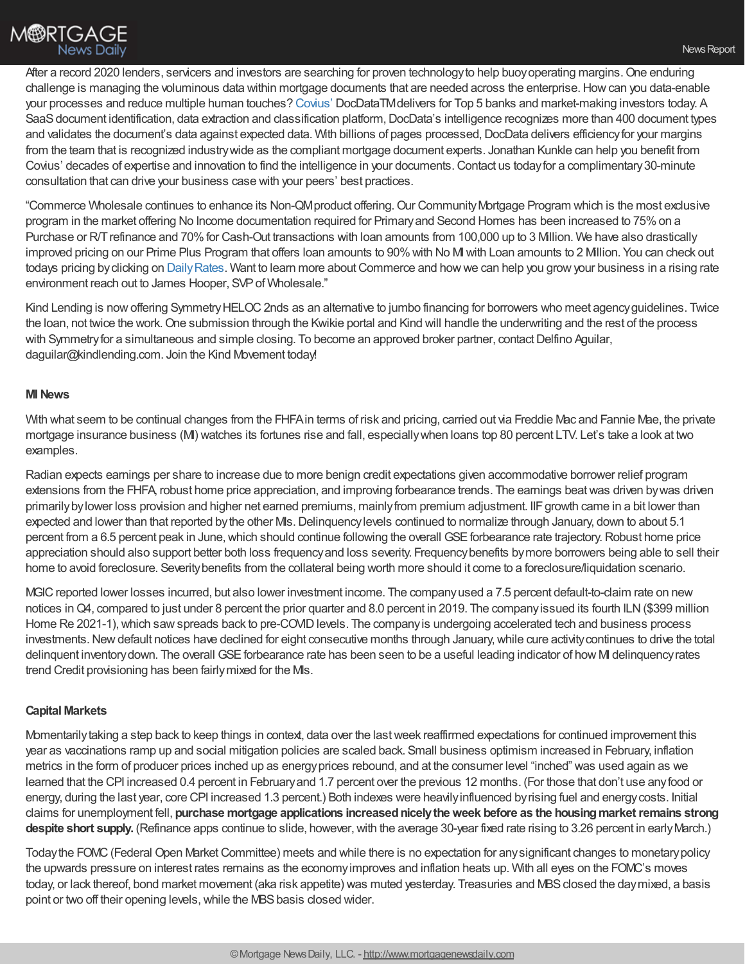After a record 2020 lenders, servicers and investors are searching for proven technology to help buoy operating margins. One enduring challenge is managing the voluminous data within mortgage documents that are needed across the enterprise.Howcan you data-enable your processes and reduce multiple human touches? [Covius'](http://covius.com/) DocDataTMdelivers for Top 5 banks and market-making investors today. A SaaS document identification, data extraction and classification platform, DocData's intelligence recognizes more than 400 document types and validates the document's data against expected data. With billions of pages processed, DocData delivers efficiency for your margins from the team that is recognized industrywide as the compliant mortgage document experts. Jonathan Kunkle can help you benefit from Covius' decades of expertise and innovation to find the intelligence in your documents.Contact us todayfor a complimentary30-minute consultation that can drive your business case with your peers' best practices.

"Commerce Wholesale continues to enhance its Non-QMproduct offering.Our CommunityMortgage Program which is the most exclusive program in the market offering No Income documentation required for Primaryand Second Homes has been increased to 75%on a Purchase or R/T refinance and 70% for Cash-Out transactions with loan amounts from 100,000 up to 3 Million. We have also drastically improved pricing on our Prime Plus Program that offers loan amounts to 90%with No MIwith Loan amounts to 2 Million. You can check out todays pricing by clicking on Daily Rates. Want to learn more about Commerce and how we can help you grow your business in a rising rate environment reach out to James Hooper, SVP of Wholesale."

Kind Lending is now offering Symmetry HELOC 2nds as an alternative to jumbo financing for borrowers who meet agency guidelines. Twice the loan, not twice the work.One submission through the Kwikie portal and Kind will handle the underwriting and the rest of the process with Symmetry for a simultaneous and simple closing. To become an approved broker partner, contact Delfino Aguilar, daguilar@kindlending.com. Join the Kind Movement today!

### **MINews**

With what seem to be continual changes from the FHFA in terms of risk and pricing, carried out via Freddie Mac and Fannie Mae, the private mortgage insurance business (MI) watches its fortunes rise and fall, especiallywhen loans top 80 percent LTV. Let's take a look at two examples.

Radian expects earnings per share to increase due to more benign credit expectations given accommodative borrower relief program extensions from the FHFA, robust home price appreciation, and improving forbearance trends. The earnings beatwas driven bywas driven primarilybylower loss provision and higher net earned premiums, mainlyfrom premium adjustment. IIFgrowth came in a bit lower than expected and lower than that reported by the other MIs. Delinquency levels continued to normalize through January, down to about 5.1 percent from a 6.5 percent peak in June, which should continue following the overall GSE forbearance rate trajectory. Robust home price appreciation should also support better both loss frequencyand loss severity. Frequencybenefits bymore borrowers being able to sell their home to avoid foreclosure. Severity benefits from the collateral being worth more should it come to a foreclosure/liquidation scenario.

MGIC reported lower losses incurred, but also lower investment income. The companyused a 7.5 percent default-to-claim rate on new notices in Q4, compared to just under 8 percent the prior quarter and 8.0 percent in 2019. The company issued its fourth ILN (\$399 million Home Re 2021-1), which saw spreads back to pre-COVID levels. The company is undergoing accelerated tech and business process investments. New default notices have declined for eight consecutive months through January, while cure activity continues to drive the total delinquent inventory down. The overall GSE forbearance rate has been seen to be a useful leading indicator of how MI delinquency rates trend Credit provisioning has been fairlymixed for the MIs.

### **Capital Markets**

Momentarilytaking a step back to keep things in context, data over the lastweek reaffirmed expectations for continued improvement this year as vaccinations ramp up and social mitigation policies are scaled back. Small business optimism increased in February, inflation metrics in the form of producer prices inched up as energyprices rebound, and at the consumer level "inched" was used again as we learned that the CPI increased 0.4 percent in Februaryand 1.7 percent over the previous 12 months. (For those that don't use anyfood or energy, during the last year, core CPI increased 1.3 percent.) Both indexes were heavilyinfluenced byrising fuel and energycosts. Initial claims for unemployment fell, **purchase mortgage applications increasednicelytheweek before as the housingmarketremains strong despite short supply.** (Refinance apps continue to slide, however, with the average 30-year fixed rate rising to 3.26 percent in early March.)

Todaythe FOMC(Federal Open MarketCommittee) meets and while there is no expectation for anysignificant changes to monetarypolicy the upwards pressure on interest rates remains as the economyimproves and inflation heats up. With all eyes on the FOMC's moves today, or lack thereof, bond market movement (aka risk appetite) was muted yesterday. Treasuries and MBS closed the day mixed, a basis point or two off their opening levels, while the MBS basis closed wider.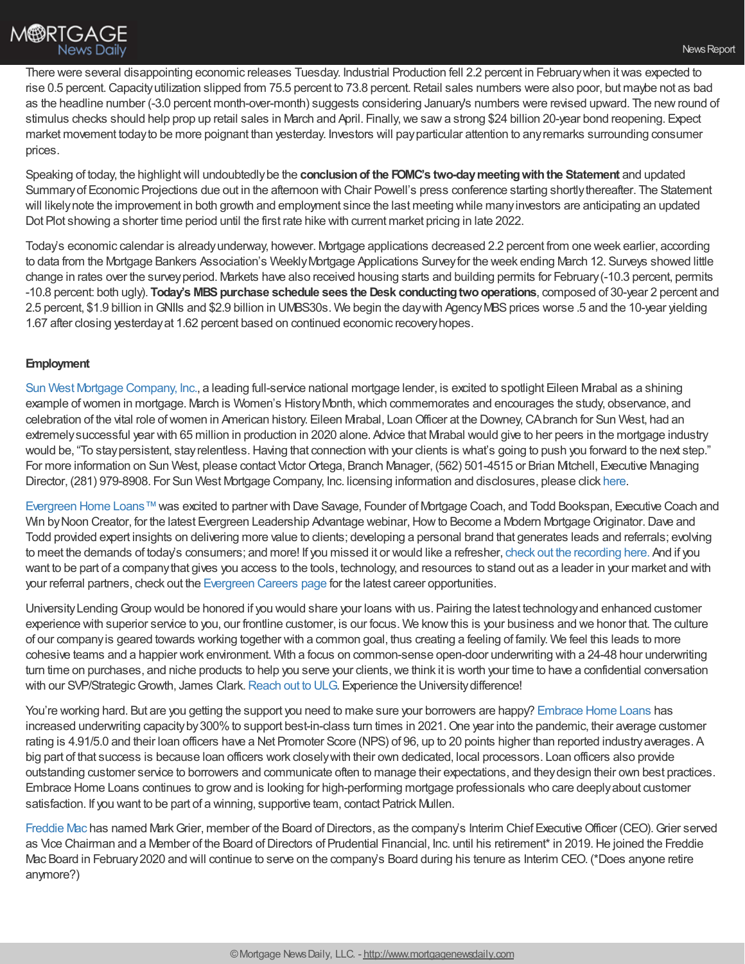There were several disappointing economic releases Tuesday. Industrial Production fell 2.2 percent in Februarywhen itwas expected to rise 0.5 percent. Capacity utilization slipped from 75.5 percent to 73.8 percent. Retail sales numbers were also poor, but maybe not as bad as the headline number (-3.0 percent month-over-month) suggests considering January's numbers were revised upward. The newround of stimulus checks should help prop up retail sales in March and April. Finally, we saw a strong \$24 billion 20-year bond reopening. Expect market movement todayto be more poignant than yesterday. Investors will payparticular attention to anyremarks surrounding consumer prices.

Speaking of today, the highlightwill undoubtedlybe the **conclusionof the FOMC's two-daymeetingwiththe Statement** and updated Summaryof Economic Projections due out in the afternoon with Chair Powell's press conference starting shortlythereafter. The Statement will likelynote the improvement in both growth and employment since the last meeting while manyinvestors are anticipating an updated Dot Plot showing a shorter time period until the first rate hike with current market pricing in late 2022.

Today's economic calendar is alreadyunderway, however. Mortgage applications decreased 2.2 percent from one week earlier, according to data from the Mortgage Bankers Association's Weekly Mortgage Applications Survey for the week ending March 12. Surveys showed little change in rates over the surveyperiod. Markets have also received housing starts and building permits for February(-10.3 percent, permits -10.8 percent: both ugly). **Today's MBSpurchase schedule sees the Desk conductingtwooperations**, composed of 30-year 2 percent and 2.5 percent, \$1.9 billion inGNIIs and \$2.9 billion in UMBS30s. We begin the daywith AgencyMBSprices worse .5 and the 10-year yielding 1.67 after closing yesterdayat 1.62 percent based on continued economic recoveryhopes.

## **Employment**

Sun West Mortgage [Company,](http://swmcretail.com/) Inc., a leading full-service national mortgage lender, is excited to spotlight Eileen Mirabal as a shining example of women in mortgage. March is Women's History Month, which commemorates and encourages the study, observance, and celebration of the vital role ofwomen in American history. Eileen Mirabal, LoanOfficer at the Downey,CAbranch for Sun West, had an extremelysuccessful year with 65 million in production in 2020 alone. Advice that Mirabal would give to her peers in the mortgage industry would be, "To stay persistent, stay relentless. Having that connection with your clients is what's going to push you forward to the next step." For more information on Sun West, please contact VictorOrtega, Branch Manager, (562) 501-4515 or Brian Mitchell, Executive Managing Director, (281) 979-8908. For Sun West Mortgage Company, Inc. licensing information and disclosures, please click [here](https://www.swmc.com/disclaimer.php).

[Evergreen](https://www.evergreenhomeloans.com/) Home Loans™was excited to partner with Dave Savage, Founder of Mortgage Coach, and Todd Bookspan, Executive Coach and Win by Noon Creator, for the latest Evergreen Leadership Advantage webinar, How to Become a Modern Mortgage Originator. Dave and Todd provided expert insights on delivering more value to clients; developing a personal brand that generates leads and referrals; evolving to meet the demands of today's consumers; and more! If you missed it or would like a refresher, check out the [recording](https://youtu.be/f65ZtckWdTE) here. And if you want to be part of a companythat gives you access to the tools, technology, and resources to stand out as a leader in your market and with your referral partners, check out the [Evergreen](https://www.evergreenhomeloans.com/why-evergreen/mortgage-jobs) Careers page for the latest career opportunities.

UniversityLendingGroup would be honored if you would share your loans with us. Pairing the latest technologyand enhanced customer experience with superior service to you, our frontline customer, is our focus. We knowthis is your business and we honor that. The culture of our companyis geared towards working together with a common goal, thus creating a feeling of family. We feel this leads to more cohesive teams and a happier work environment. With a focus on common-sense open-door underwriting with a 24-48 hour underwriting turn time on purchases, and niche products to help you serve your clients, we think it is worth your time to have a confidential conversation with our SVP/Strategic Growth, James Clark. [Reach](https://university-lending.com/Careers) out to ULG. Experience the University difference!

You're working hard. But are you getting the support you need to make sure your borrowers are happy? [Embrace](https://www.embracehomeloans.com/recruiting) Home Loans has increased underwriting capacity by 300% to support best-in-class turn times in 2021. One year into the pandemic, their average customer rating is 4.91/5.0 and their loan officers have a Net Promoter Score (NPS) of 96, up to 20 points higher than reported industryaverages. A big part of that success is because loan officers work closelywith their own dedicated, local processors. Loan officers also provide outstanding customer service to borrowers and communicate often to manage their expectations, and theydesign their own best practices. Embrace Home Loans continues to growand is looking for high-performing mortgage professionals who care deeplyabout customer satisfaction. If you want to be part of a winning, supportive team, contact Patrick Mullen.

[Freddie](http://www.freddiemac.com/) Mac has named Mark Grier, member of the Board of Directors, as the company's Interim Chief Executive Officer (CEO). Grier served as Vice Chairman and a Member of the Board of Directors of Prudential Financial, Inc. until his retirement\* in 2019. He joined the Freddie Mac Board in February 2020 and will continue to serve on the company's Board during his tenure as Interim CEO. (\*Does anyone retire anymore?)